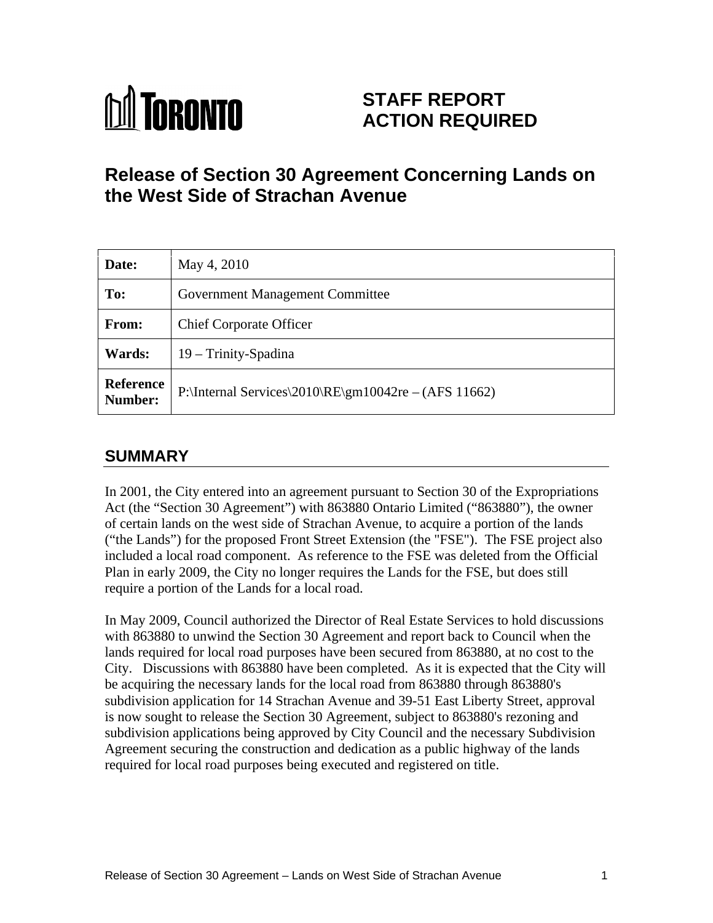# **M** TORONTO

# **STAFF REPORT ACTION REQUIRED**

# **Release of Section 30 Agreement Concerning Lands on the West Side of Strachan Avenue**

| Date:                | May 4, 2010                                          |
|----------------------|------------------------------------------------------|
| To:                  | Government Management Committee                      |
| From:                | <b>Chief Corporate Officer</b>                       |
| <b>Wards:</b>        | $19 - Trinity$ -Spadina                              |
| Reference<br>Number: | P:\Internal Services\2010\RE\gm10042re – (AFS 11662) |

## **SUMMARY**

In 2001, the City entered into an agreement pursuant to Section 30 of the Expropriations Act (the "Section 30 Agreement") with 863880 Ontario Limited ("863880"), the owner of certain lands on the west side of Strachan Avenue, to acquire a portion of the lands ("the Lands") for the proposed Front Street Extension (the "FSE"). The FSE project also included a local road component. As reference to the FSE was deleted from the Official Plan in early 2009, the City no longer requires the Lands for the FSE, but does still

require a portion of the Lands for a local road. In May 2009, Council authorized the Director of Real Estate Services to hold discussions with 863880 to unwind the Section 30 Agreement and report back to Council when the lands required for local road purposes have been secured from 863880, at no cost to the City. Discussions with 863880 have been completed. As it is expected that the City will be acquiring the necessary lands for the local road from 863880 through 863880's subdivision application for 14 Strachan Avenue and 39-51 East Liberty Street, approval is now sought to release the Section 30 Agreement, subject to 863880's rezoning and subdivision applications being approved by City Council and the necessary Subdivision Agreement securing the construction and dedication as a public highway of the lands required for local road purposes being executed and registered on title.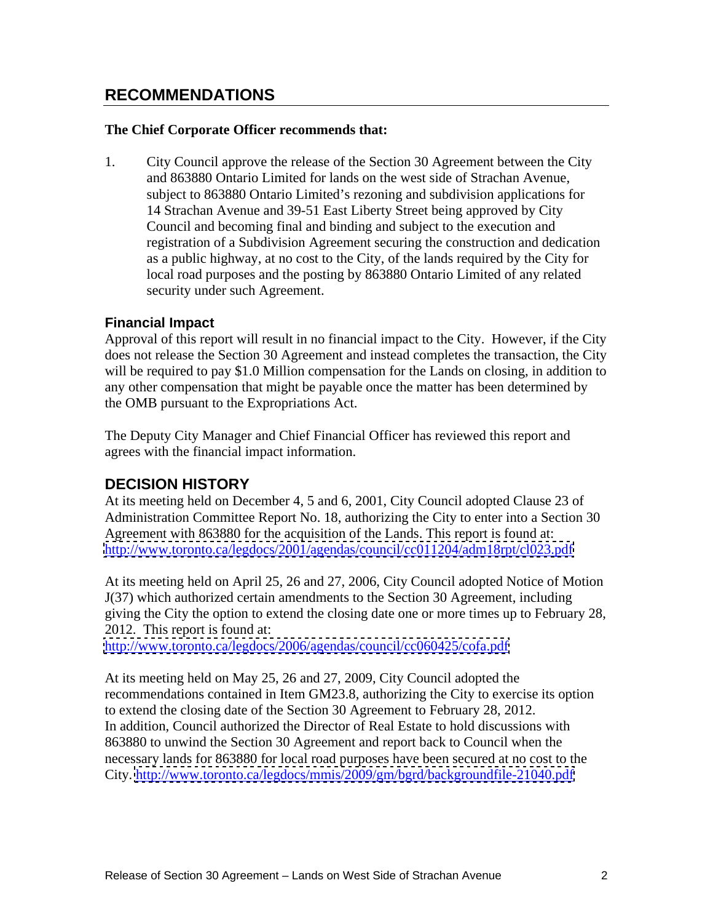### **RECOMMENDATIONS**

#### **The Chief Corporate Officer recommends that:**

1. City Council approve the release of the Section 30 Agreement between the City and 863880 Ontario Limited for lands on the west side of Strachan Avenue, subject to 863880 Ontario Limited's rezoning and subdivision applications for 14 Strachan Avenue and 39-51 East Liberty Street being approved by City Council and becoming final and binding and subject to the execution and registration of a Subdivision Agreement securing the construction and dedication as a public highway, at no cost to the City, of the lands required by the City for local road purposes and the posting by 863880 Ontario Limited of any related security under such Agreement.

#### **Financial Impact**

Approval of this report will result in no financial impact to the City. However, if the City does not release the Section 30 Agreement and instead completes the transaction, the City will be required to pay \$1.0 Million compensation for the Lands on closing, in addition to any other compensation that might be payable once the matter has been determined by the OMB pursuant to the Expropriations Act.

The Deputy City Manager and Chief Financial Officer has reviewed this report and agrees with the financial impact information.

#### **DECISION HISTORY**

At its meeting held on December 4, 5 and 6, 2001, City Council adopted Clause 23 of Administration Committee Report No. 18, authorizing the City to enter into a Section 30 Agreement with 863880 for the acquisition of the Lands. This report is found at: <http://www.toronto.ca/legdocs/2001/agendas/council/cc011204/adm18rpt/cl023.pdf>

At its meeting held on April 25, 26 and 27, 2006, City Council adopted Notice of Motion J(37) which authorized certain amendments to the Section 30 Agreement, including giving the City the option to extend the closing date one or more times up to February 28, 2012. This report is found at:

<http://www.toronto.ca/legdocs/2006/agendas/council/cc060425/cofa.pdf>

At its meeting held on May 25, 26 and 27, 2009, City Council adopted the recommendations contained in Item GM23.8, authorizing the City to exercise its option to extend the closing date of the Section 30 Agreement to February 28, 2012. In addition, Council authorized the Director of Real Estate to hold discussions with 863880 to unwind the Section 30 Agreement and report back to Council when the necessary lands for 863880 for local road purposes have been secured at no cost to the City.<http://www.toronto.ca/legdocs/mmis/2009/gm/bgrd/backgroundfile-21040.pdf>